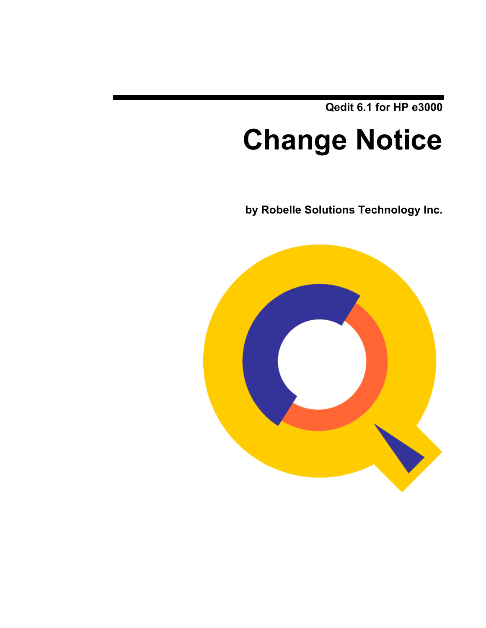**Qedit 6.1 for HP e3000**

# **Change Notice**

**by Robelle Solutions Technology Inc.**

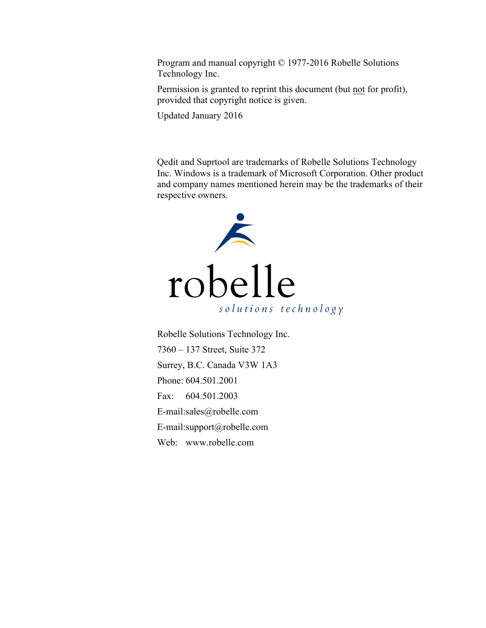Program and manual copyright © 1977-2016 Robelle Solutions Technology Inc.

Permission is granted to reprint this document (but not for profit), provided that copyright notice is given.

Updated January 2016

Qedit and Suprtool are trademarks of Robelle Solutions Technology Inc. Windows is a trademark of Microsoft Corporation. Other product and company names mentioned herein may be the trademarks of their respective owners.



Robelle Solutions Technology Inc. 7360 – 137 Street, Suite 372 Surrey, B.C. Canada V3W 1A3 Phone: 604.501.2001 Fax: 604.501.2003 E-mail:sales@robelle.com E-mail:support@robelle.com Web: www.robelle.com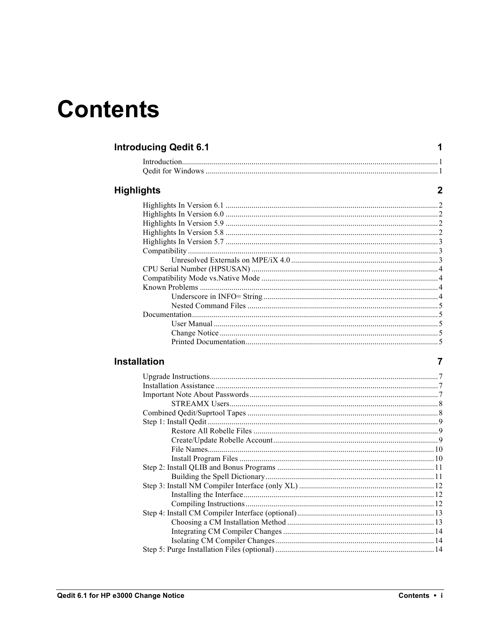## **Contents**

| <b>Introducing Qedit 6.1</b> |  |
|------------------------------|--|
| Introduction.                |  |
|                              |  |
| <b>Highlights</b>            |  |
|                              |  |
|                              |  |
|                              |  |
|                              |  |
|                              |  |
|                              |  |
|                              |  |
|                              |  |
|                              |  |
|                              |  |
|                              |  |
|                              |  |
| Documentation.               |  |
|                              |  |
|                              |  |
|                              |  |

#### Installation

 $\overline{7}$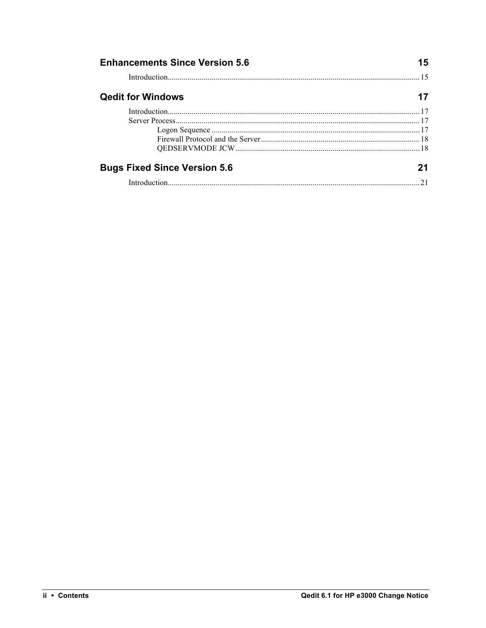| <b>Enhancements Since Version 5.6</b> |  |
|---------------------------------------|--|
|                                       |  |
| <b>Qedit for Windows</b>              |  |
|                                       |  |
|                                       |  |
|                                       |  |
|                                       |  |
|                                       |  |
| <b>Bugs Fixed Since Version 5.6</b>   |  |
|                                       |  |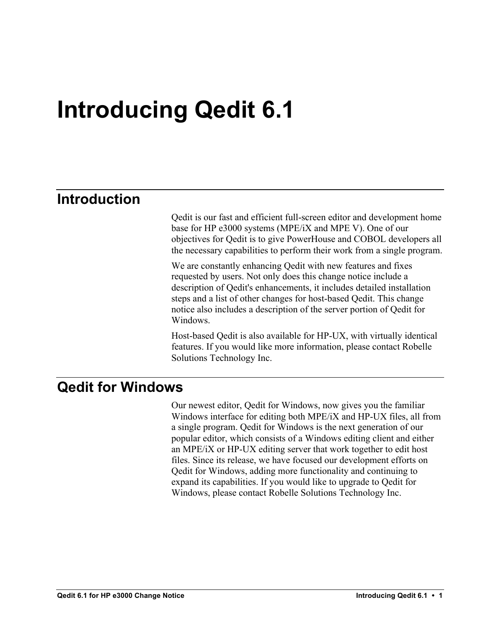## **Introducing Qedit 6.1**

## **Introduction**

Qedit is our fast and efficient full-screen editor and development home base for HP e3000 systems (MPE/iX and MPE V). One of our objectives for Qedit is to give PowerHouse and COBOL developers all the necessary capabilities to perform their work from a single program.

We are constantly enhancing Qedit with new features and fixes requested by users. Not only does this change notice include a description of Qedit's enhancements, it includes detailed installation steps and a list of other changes for host-based Qedit. This change notice also includes a description of the server portion of Qedit for **Windows** 

Host-based Qedit is also available for HP-UX, with virtually identical features. If you would like more information, please contact Robelle Solutions Technology Inc.

### **Qedit for Windows**

Our newest editor, Qedit for Windows, now gives you the familiar Windows interface for editing both MPE/iX and HP-UX files, all from a single program. Qedit for Windows is the next generation of our popular editor, which consists of a Windows editing client and either an MPE/iX or HP-UX editing server that work together to edit host files. Since its release, we have focused our development efforts on Qedit for Windows, adding more functionality and continuing to expand its capabilities. If you would like to upgrade to Qedit for Windows, please contact Robelle Solutions Technology Inc.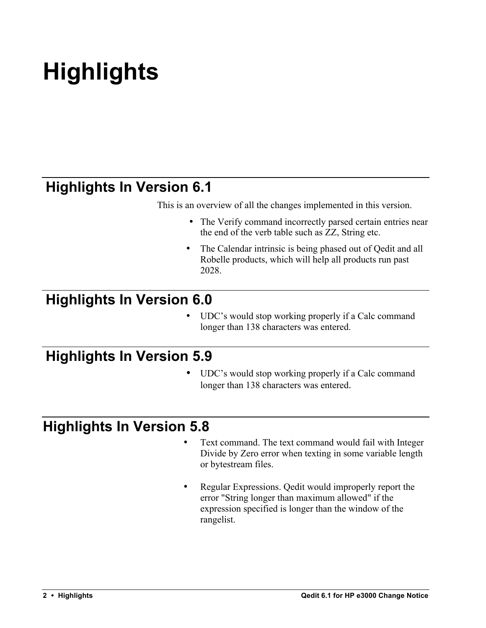# **Highlights**

## **Highlights In Version 6.1**

This is an overview of all the changes implemented in this version.

- The Verify command incorrectly parsed certain entries near the end of the verb table such as ZZ, String etc.
- The Calendar intrinsic is being phased out of Qedit and all Robelle products, which will help all products run past 2028.

## **Highlights In Version 6.0**

UDC's would stop working properly if a Calc command longer than 138 characters was entered.

## **Highlights In Version 5.9**

UDC's would stop working properly if a Calc command longer than 138 characters was entered.

## **Highlights In Version 5.8**

- Text command. The text command would fail with Integer Divide by Zero error when texting in some variable length or bytestream files.
- Regular Expressions. Qedit would improperly report the error "String longer than maximum allowed" if the expression specified is longer than the window of the rangelist.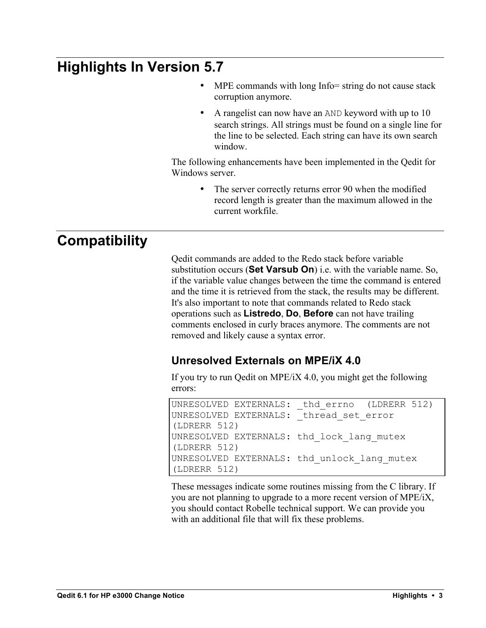## **Highlights In Version 5.7**

- MPE commands with long Info= string do not cause stack corruption anymore.
- A rangelist can now have an AND keyword with up to 10 search strings. All strings must be found on a single line for the line to be selected. Each string can have its own search window.

The following enhancements have been implemented in the Qedit for Windows server.

> • The server correctly returns error 90 when the modified record length is greater than the maximum allowed in the current workfile.

## **Compatibility**

Qedit commands are added to the Redo stack before variable substitution occurs (**Set Varsub On**) i.e. with the variable name. So, if the variable value changes between the time the command is entered and the time it is retrieved from the stack, the results may be different. It's also important to note that commands related to Redo stack operations such as **Listredo**, **Do**, **Before** can not have trailing comments enclosed in curly braces anymore. The comments are not removed and likely cause a syntax error.

#### **Unresolved Externals on MPE/iX 4.0**

If you try to run Qedit on MPE/iX 4.0, you might get the following errors:

```
UNRESOLVED EXTERNALS: thd errno (LDRERR 512)
UNRESOLVED EXTERNALS: thread set error
(LDRERR 512)
UNRESOLVED EXTERNALS: thd_lock_lang_mutex 
(LDRERR 512)
UNRESOLVED EXTERNALS: thd_unlock_lang_mutex 
(LDRERR 512)
```
These messages indicate some routines missing from the C library. If you are not planning to upgrade to a more recent version of MPE/iX, you should contact Robelle technical support. We can provide you with an additional file that will fix these problems.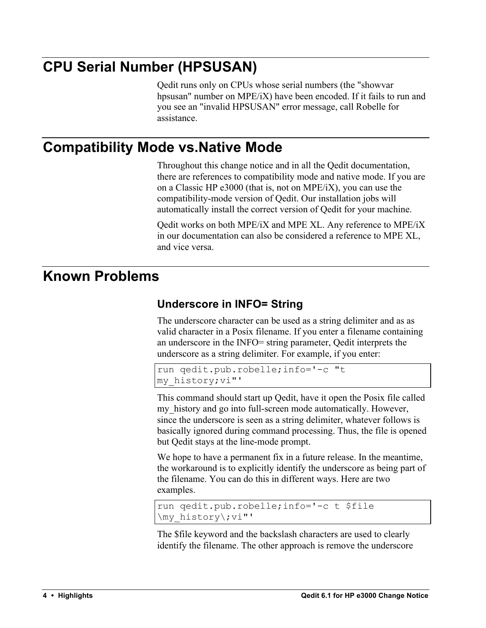## **CPU Serial Number (HPSUSAN)**

Qedit runs only on CPUs whose serial numbers (the "showvar hpsusan" number on MPE/iX) have been encoded. If it fails to run and you see an "invalid HPSUSAN" error message, call Robelle for assistance.

## **Compatibility Mode vs.Native Mode**

Throughout this change notice and in all the Qedit documentation, there are references to compatibility mode and native mode. If you are on a Classic HP e3000 (that is, not on MPE/iX), you can use the compatibility-mode version of Qedit. Our installation jobs will automatically install the correct version of Qedit for your machine.

Qedit works on both MPE/iX and MPE XL. Any reference to MPE/iX in our documentation can also be considered a reference to MPE XL, and vice versa.

## **Known Problems**

#### **Underscore in INFO= String**

The underscore character can be used as a string delimiter and as as valid character in a Posix filename. If you enter a filename containing an underscore in the INFO= string parameter, Qedit interprets the underscore as a string delimiter. For example, if you enter:

```
run qedit.pub.robelle;info='-c "t 
my_history;vi"'
```
This command should start up Qedit, have it open the Posix file called my history and go into full-screen mode automatically. However, since the underscore is seen as a string delimiter, whatever follows is basically ignored during command processing. Thus, the file is opened but Qedit stays at the line-mode prompt.

We hope to have a permanent fix in a future release. In the meantime, the workaround is to explicitly identify the underscore as being part of the filename. You can do this in different ways. Here are two examples.

```
run qedit.pub.robelle;info='-c t $file 
\my_history\;vi"'
```
The \$file keyword and the backslash characters are used to clearly identify the filename. The other approach is remove the underscore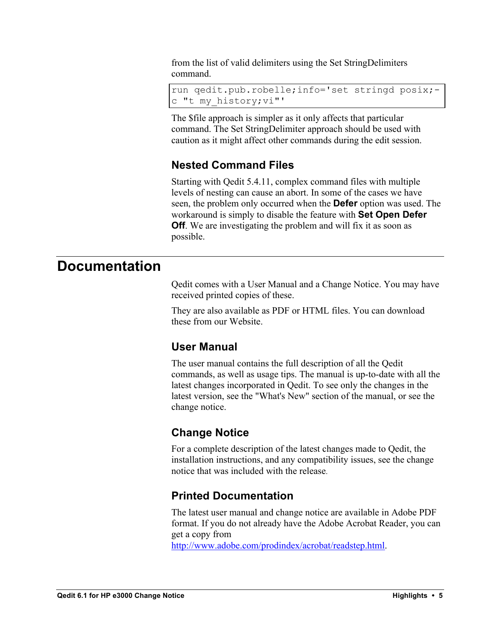from the list of valid delimiters using the Set StringDelimiters command.

```
run qedit.pub.robelle;info='set stringd posix;-
c "t my_history;vi"'
```
The \$file approach is simpler as it only affects that particular command. The Set StringDelimiter approach should be used with caution as it might affect other commands during the edit session.

#### **Nested Command Files**

Starting with Qedit 5.4.11, complex command files with multiple levels of nesting can cause an abort. In some of the cases we have seen, the problem only occurred when the **Defer** option was used. The workaround is simply to disable the feature with **Set Open Defer Off**. We are investigating the problem and will fix it as soon as possible.

### **Documentation**

Qedit comes with a User Manual and a Change Notice. You may have received printed copies of these.

They are also available as PDF or HTML files. You can download these from our Website.

#### **User Manual**

The user manual contains the full description of all the Qedit commands, as well as usage tips. The manual is up-to-date with all the latest changes incorporated in Qedit. To see only the changes in the latest version, see the "What's New" section of the manual, or see the change notice.

#### **Change Notice**

For a complete description of the latest changes made to Qedit, the installation instructions, and any compatibility issues, see the change notice that was included with the release.

#### **Printed Documentation**

The latest user manual and change notice are available in Adobe PDF format. If you do not already have the Adobe Acrobat Reader, you can get a copy from

http://www.adobe.com/prodindex/acrobat/readstep.html.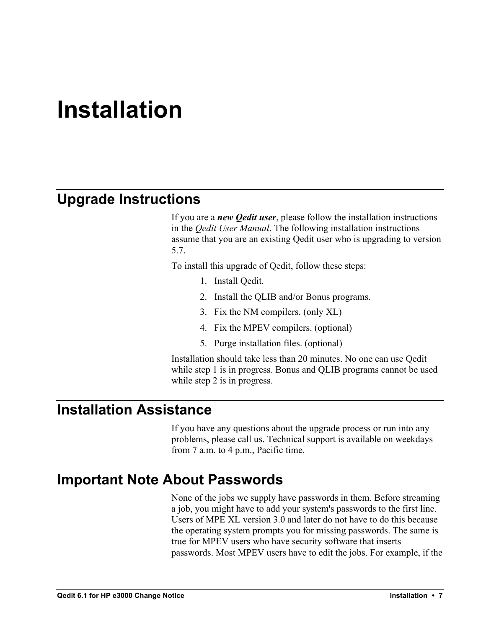## **Installation**

## **Upgrade Instructions**

If you are a *new Qedit user*, please follow the installation instructions in the *Qedit User Manual*. The following installation instructions assume that you are an existing Qedit user who is upgrading to version 5.7.

To install this upgrade of Qedit, follow these steps:

- 1. Install Qedit.
- 2. Install the QLIB and/or Bonus programs.
- 3. Fix the NM compilers. (only XL)
- 4. Fix the MPEV compilers. (optional)
- 5. Purge installation files. (optional)

Installation should take less than 20 minutes. No one can use Qedit while step 1 is in progress. Bonus and QLIB programs cannot be used while step 2 is in progress.

### **Installation Assistance**

If you have any questions about the upgrade process or run into any problems, please call us. Technical support is available on weekdays from 7 a.m. to 4 p.m., Pacific time.

### **Important Note About Passwords**

None of the jobs we supply have passwords in them. Before streaming a job, you might have to add your system's passwords to the first line. Users of MPE XL version 3.0 and later do not have to do this because the operating system prompts you for missing passwords. The same is true for MPEV users who have security software that inserts passwords. Most MPEV users have to edit the jobs. For example, if the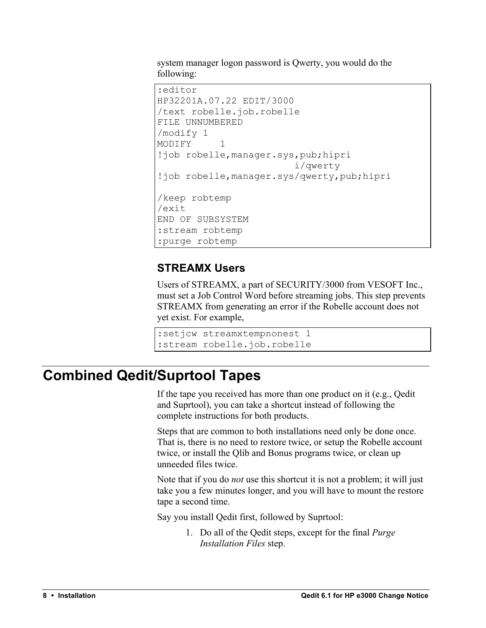system manager logon password is Qwerty, you would do the following:

```
:editor
HP32201A.07.22 EDIT/3000
/text robelle.job.robelle
FILE UNNUMBERED
/modify 1
MODIFY 1
!job robelle,manager.sys,pub;hipri
                         i/qwerty
!job robelle,manager.sys/qwerty,pub;hipri
/keep robtemp
/exit
END OF SUBSYSTEM
:stream robtemp
:purge robtemp
```
#### **STREAMX Users**

Users of STREAMX, a part of SECURITY/3000 from VESOFT Inc., must set a Job Control Word before streaming jobs. This step prevents STREAMX from generating an error if the Robelle account does not yet exist. For example,

```
:setjcw streamxtempnonest 1
:stream robelle.job.robelle
```
## **Combined Qedit/Suprtool Tapes**

If the tape you received has more than one product on it (e.g., Qedit and Suprtool), you can take a shortcut instead of following the complete instructions for both products.

Steps that are common to both installations need only be done once. That is, there is no need to restore twice, or setup the Robelle account twice, or install the Qlib and Bonus programs twice, or clean up unneeded files twice.

Note that if you do *not* use this shortcut it is not a problem; it will just take you a few minutes longer, and you will have to mount the restore tape a second time.

Say you install Qedit first, followed by Suprtool:

1. Do all of the Qedit steps, except for the final *Purge Installation Files* step.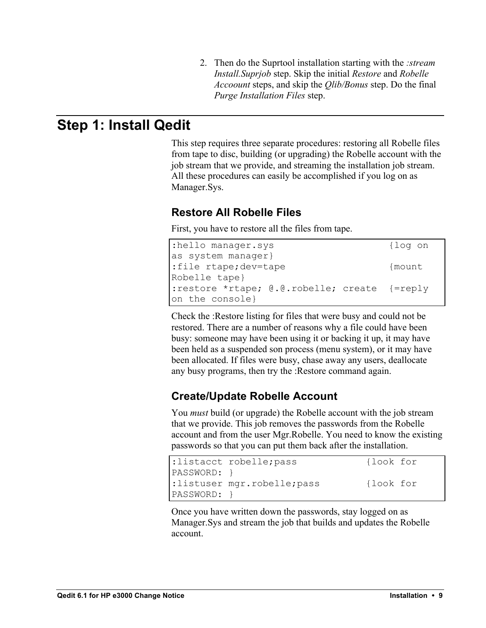2. Then do the Suprtool installation starting with the *:stream Install.Suprjob* step. Skip the initial *Restore* and *Robelle Accoount* steps, and skip the *Qlib/Bonus* step. Do the final *Purge Installation Files* step.

## **Step 1: Install Qedit**

This step requires three separate procedures: restoring all Robelle files from tape to disc, building (or upgrading) the Robelle account with the job stream that we provide, and streaming the installation job stream. All these procedures can easily be accomplished if you log on as Manager.Sys.

#### **Restore All Robelle Files**

First, you have to restore all the files from tape.

| :hello manager.sys                           | {log on |
|----------------------------------------------|---------|
| as system manager}                           |         |
| :file rtape;dev=tape                         | {mount  |
| Robelle tape}                                |         |
| :restore *rtape; @.@.robelle; create {=reply |         |
| on the console}                              |         |

Check the :Restore listing for files that were busy and could not be restored. There are a number of reasons why a file could have been busy: someone may have been using it or backing it up, it may have been held as a suspended son process (menu system), or it may have been allocated. If files were busy, chase away any users, deallocate any busy programs, then try the :Restore command again.

#### **Create/Update Robelle Account**

You *must* build (or upgrade) the Robelle account with the job stream that we provide. This job removes the passwords from the Robelle account and from the user Mgr.Robelle. You need to know the existing passwords so that you can put them back after the installation.

|                 | :listacct robelle; pass     | {look for |
|-----------------|-----------------------------|-----------|
| $ PASSWORD:$ }  |                             |           |
|                 | :listuser mgr.robelle; pass | {look for |
| $ PASSWORD: \}$ |                             |           |

Once you have written down the passwords, stay logged on as Manager.Sys and stream the job that builds and updates the Robelle account.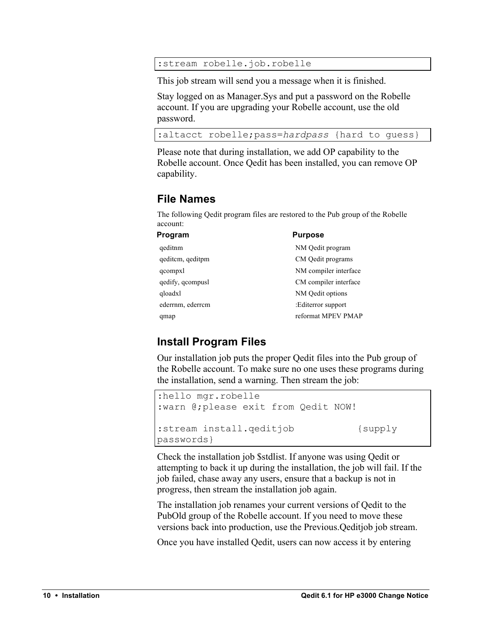:stream robelle.job.robelle

This job stream will send you a message when it is finished.

Stay logged on as Manager.Sys and put a password on the Robelle account. If you are upgrading your Robelle account, use the old password.

```
:altacct robelle;pass=hardpass {hard to guess}
```
Please note that during installation, we add OP capability to the Robelle account. Once Qedit has been installed, you can remove OP capability.

#### **File Names**

The following Qedit program files are restored to the Pub group of the Robelle account:

| Program          | <b>Purpose</b>        |
|------------------|-----------------------|
| qeditnm          | NM Qedit program      |
| geditem, geditpm | CM Qedit programs     |
| qcompxl          | NM compiler interface |
| qedify, qcompusl | CM compiler interface |
| qloadxl          | NM Qedit options      |
| ederrnm, ederrcm | :Editerror support    |
| qmap             | reformat MPEV PMAP    |

#### **Install Program Files**

Our installation job puts the proper Qedit files into the Pub group of the Robelle account. To make sure no one uses these programs during the installation, send a warning. Then stream the job:

```
:hello mgr.robelle
:warn @;please exit from Qedit NOW!
:stream install.qeditjob {supply
passwords}
```
Check the installation job \$stdlist. If anyone was using Qedit or attempting to back it up during the installation, the job will fail. If the job failed, chase away any users, ensure that a backup is not in progress, then stream the installation job again.

The installation job renames your current versions of Qedit to the PubOld group of the Robelle account. If you need to move these versions back into production, use the Previous.Qeditjob job stream.

Once you have installed Qedit, users can now access it by entering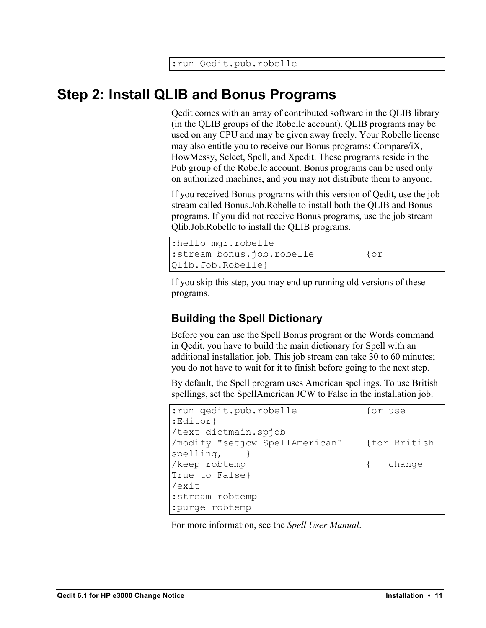## **Step 2: Install QLIB and Bonus Programs**

Qedit comes with an array of contributed software in the QLIB library (in the QLIB groups of the Robelle account). QLIB programs may be used on any CPU and may be given away freely. Your Robelle license may also entitle you to receive our Bonus programs: Compare/iX, HowMessy, Select, Spell, and Xpedit. These programs reside in the Pub group of the Robelle account. Bonus programs can be used only on authorized machines, and you may not distribute them to anyone.

If you received Bonus programs with this version of Qedit, use the job stream called Bonus.Job.Robelle to install both the QLIB and Bonus programs. If you did not receive Bonus programs, use the job stream Qlib.Job.Robelle to install the QLIB programs.

```
:hello mgr.robelle
:stream bonus.job.robelle {or
Qlib.Job.Robelle}
```
If you skip this step, you may end up running old versions of these programs.

#### **Building the Spell Dictionary**

Before you can use the Spell Bonus program or the Words command in Qedit, you have to build the main dictionary for Spell with an additional installation job. This job stream can take 30 to 60 minutes; you do not have to wait for it to finish before going to the next step.

By default, the Spell program uses American spellings. To use British spellings, set the SpellAmerican JCW to False in the installation job.

| : run qedit.pub.robelle                     | for use  |
|---------------------------------------------|----------|
| :Editor}                                    |          |
| /text dictmain.spjob                        |          |
| /modify "setjcw SpellAmerican" {for British |          |
| spelling,                                   |          |
| /keep robtemp                               | { change |
| True to False}                              |          |
| /exit                                       |          |
| :stream robtemp                             |          |
| :purge robtemp                              |          |

For more information, see the *Spell User Manual*.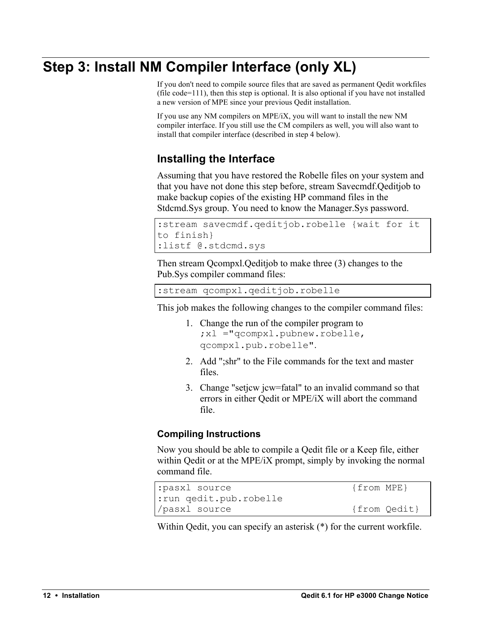## **Step 3: Install NM Compiler Interface (only XL)**

If you don't need to compile source files that are saved as permanent Qedit workfiles (file code=111), then this step is optional. It is also optional if you have not installed a new version of MPE since your previous Qedit installation.

If you use any NM compilers on MPE/iX, you will want to install the new NM compiler interface. If you still use the CM compilers as well, you will also want to install that compiler interface (described in step 4 below).

#### **Installing the Interface**

Assuming that you have restored the Robelle files on your system and that you have not done this step before, stream Savecmdf.Qeditjob to make backup copies of the existing HP command files in the Stdcmd.Sys group. You need to know the Manager.Sys password.

```
:stream savecmdf.qeditjob.robelle {wait for it 
to finish}
:listf @.stdcmd.sys
```
Then stream Qcompxl.Qeditjob to make three (3) changes to the Pub.Sys compiler command files:

:stream qcompxl.qeditjob.robelle

This job makes the following changes to the compiler command files:

- 1. Change the run of the compiler program to ;xl ="qcompxl.pubnew.robelle, qcompxl.pub.robelle".
- 2. Add ";shr" to the File commands for the text and master files.
- 3. Change "setjcw jcw=fatal" to an invalid command so that errors in either Qedit or MPE/iX will abort the command file.

#### **Compiling Instructions**

Now you should be able to compile a Qedit file or a Keep file, either within Qedit or at the MPE/iX prompt, simply by invoking the normal command file.

```
:pasxl source {from MPE}
:run qedit.pub.robelle
/pasxl source {from Qedit}
```
Within Qedit, you can specify an asterisk (\*) for the current workfile.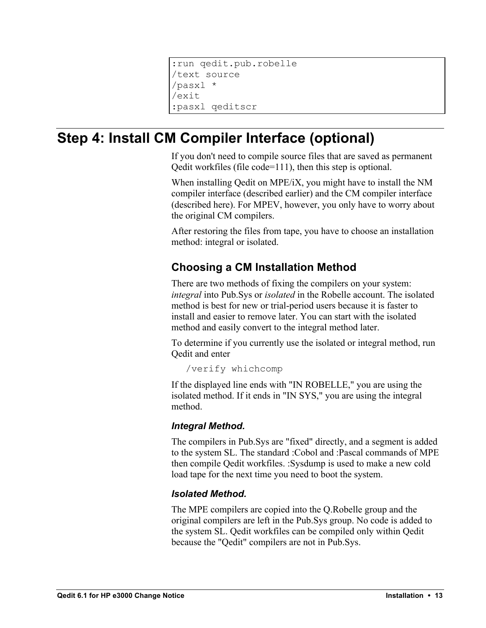```
:run qedit.pub.robelle
/text source
/pasxl *
/exit
:pasxl qeditscr
```
## **Step 4: Install CM Compiler Interface (optional)**

If you don't need to compile source files that are saved as permanent Qedit workfiles (file code=111), then this step is optional.

When installing Qedit on MPE/iX, you might have to install the NM compiler interface (described earlier) and the CM compiler interface (described here). For MPEV, however, you only have to worry about the original CM compilers.

After restoring the files from tape, you have to choose an installation method: integral or isolated.

#### **Choosing a CM Installation Method**

There are two methods of fixing the compilers on your system: *integral* into Pub.Sys or *isolated* in the Robelle account. The isolated method is best for new or trial-period users because it is faster to install and easier to remove later. You can start with the isolated method and easily convert to the integral method later.

To determine if you currently use the isolated or integral method, run Qedit and enter

/verify whichcomp

If the displayed line ends with "IN ROBELLE," you are using the isolated method. If it ends in "IN SYS," you are using the integral method.

#### *Integral Method.*

The compilers in Pub.Sys are "fixed" directly, and a segment is added to the system SL. The standard :Cobol and :Pascal commands of MPE then compile Qedit workfiles. :Sysdump is used to make a new cold load tape for the next time you need to boot the system.

#### *Isolated Method.*

The MPE compilers are copied into the Q.Robelle group and the original compilers are left in the Pub.Sys group. No code is added to the system SL. Qedit workfiles can be compiled only within Qedit because the "Qedit" compilers are not in Pub.Sys.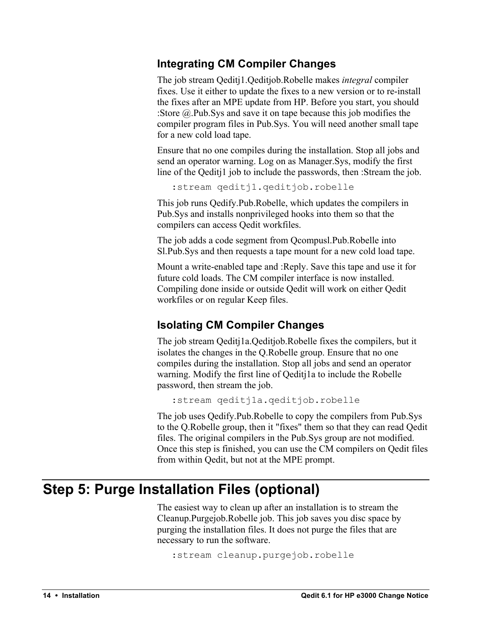#### **Integrating CM Compiler Changes**

The job stream Qeditj1.Qeditjob.Robelle makes *integral* compiler fixes. Use it either to update the fixes to a new version or to re-install the fixes after an MPE update from HP. Before you start, you should :Store @.Pub.Sys and save it on tape because this job modifies the compiler program files in Pub.Sys. You will need another small tape for a new cold load tape.

Ensure that no one compiles during the installation. Stop all jobs and send an operator warning. Log on as Manager.Sys, modify the first line of the Qeditj1 job to include the passwords, then :Stream the job.

:stream qeditj1.qeditjob.robelle

This job runs Qedify.Pub.Robelle, which updates the compilers in Pub.Sys and installs nonprivileged hooks into them so that the compilers can access Qedit workfiles.

The job adds a code segment from Qcompusl.Pub.Robelle into Sl.Pub.Sys and then requests a tape mount for a new cold load tape.

Mount a write-enabled tape and :Reply. Save this tape and use it for future cold loads. The CM compiler interface is now installed. Compiling done inside or outside Qedit will work on either Qedit workfiles or on regular Keep files.

#### **Isolating CM Compiler Changes**

The job stream Qeditj1a.Qeditjob.Robelle fixes the compilers, but it isolates the changes in the Q.Robelle group. Ensure that no one compiles during the installation. Stop all jobs and send an operator warning. Modify the first line of Qeditj1a to include the Robelle password, then stream the job.

```
:stream qeditj1a.qeditjob.robelle
```
The job uses Qedify.Pub.Robelle to copy the compilers from Pub.Sys to the Q.Robelle group, then it "fixes" them so that they can read Qedit files. The original compilers in the Pub.Sys group are not modified. Once this step is finished, you can use the CM compilers on Qedit files from within Qedit, but not at the MPE prompt.

## **Step 5: Purge Installation Files (optional)**

The easiest way to clean up after an installation is to stream the Cleanup.Purgejob.Robelle job. This job saves you disc space by purging the installation files. It does not purge the files that are necessary to run the software.

```
:stream cleanup.purgejob.robelle
```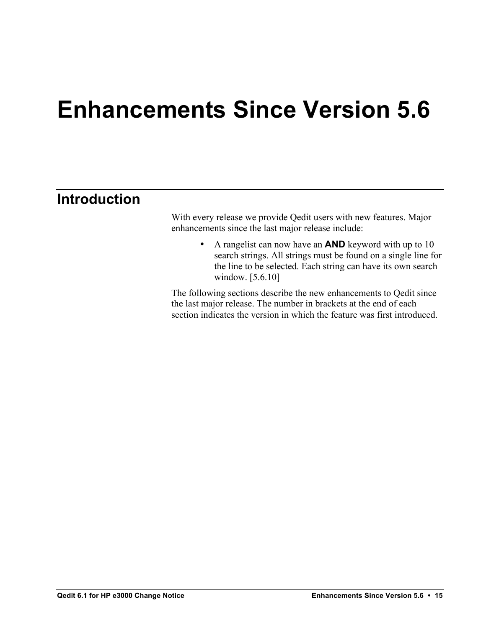## **Enhancements Since Version 5.6**

## **Introduction**

With every release we provide Qedit users with new features. Major enhancements since the last major release include:

> • A rangelist can now have an **AND** keyword with up to 10 search strings. All strings must be found on a single line for the line to be selected. Each string can have its own search window. [5.6.10]

The following sections describe the new enhancements to Qedit since the last major release. The number in brackets at the end of each section indicates the version in which the feature was first introduced.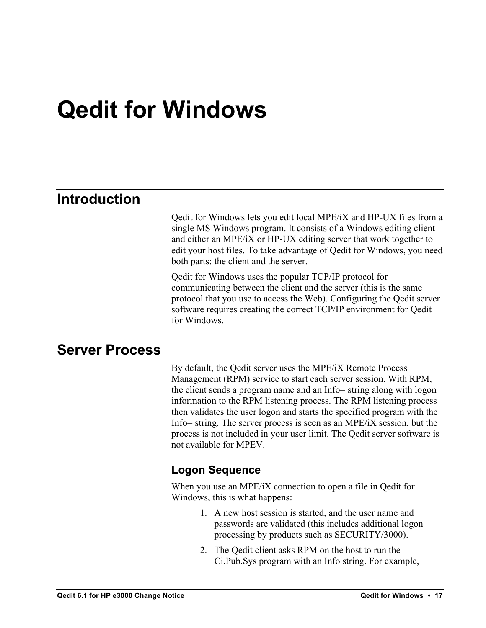## **Qedit for Windows**

## **Introduction**

Qedit for Windows lets you edit local MPE/iX and HP-UX files from a single MS Windows program. It consists of a Windows editing client and either an MPE/iX or HP-UX editing server that work together to edit your host files. To take advantage of Qedit for Windows, you need both parts: the client and the server.

Qedit for Windows uses the popular TCP/IP protocol for communicating between the client and the server (this is the same protocol that you use to access the Web). Configuring the Qedit server software requires creating the correct TCP/IP environment for Qedit for Windows.

## **Server Process**

By default, the Qedit server uses the MPE/iX Remote Process Management (RPM) service to start each server session. With RPM, the client sends a program name and an Info= string along with logon information to the RPM listening process. The RPM listening process then validates the user logon and starts the specified program with the Info= string. The server process is seen as an MPE/iX session, but the process is not included in your user limit. The Qedit server software is not available for MPEV.

#### **Logon Sequence**

When you use an MPE/iX connection to open a file in Qedit for Windows, this is what happens:

- 1. A new host session is started, and the user name and passwords are validated (this includes additional logon processing by products such as SECURITY/3000).
- 2. The Qedit client asks RPM on the host to run the Ci.Pub.Sys program with an Info string. For example,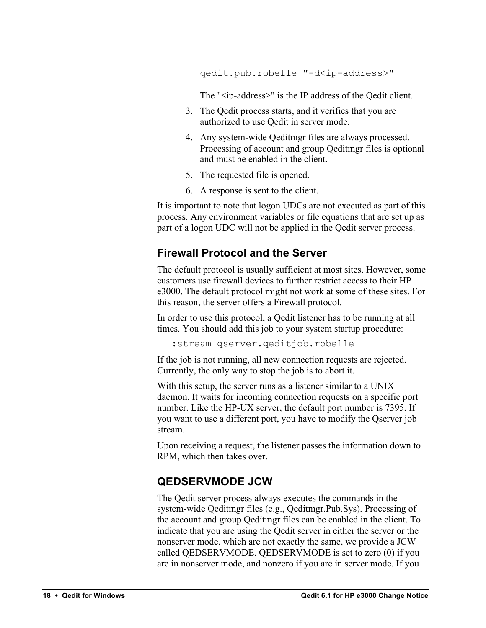qedit.pub.robelle "-d<ip-address>"

The "<ip-address>" is the IP address of the Qedit client.

- 3. The Qedit process starts, and it verifies that you are authorized to use Qedit in server mode.
- 4. Any system-wide Qeditmgr files are always processed. Processing of account and group Qeditmgr files is optional and must be enabled in the client.
- 5. The requested file is opened.
- 6. A response is sent to the client.

It is important to note that logon UDCs are not executed as part of this process. Any environment variables or file equations that are set up as part of a logon UDC will not be applied in the Qedit server process.

#### **Firewall Protocol and the Server**

The default protocol is usually sufficient at most sites. However, some customers use firewall devices to further restrict access to their HP e3000. The default protocol might not work at some of these sites. For this reason, the server offers a Firewall protocol.

In order to use this protocol, a Qedit listener has to be running at all times. You should add this job to your system startup procedure:

:stream qserver.qeditjob.robelle

If the job is not running, all new connection requests are rejected. Currently, the only way to stop the job is to abort it.

With this setup, the server runs as a listener similar to a UNIX daemon. It waits for incoming connection requests on a specific port number. Like the HP-UX server, the default port number is 7395. If you want to use a different port, you have to modify the Qserver job stream.

Upon receiving a request, the listener passes the information down to RPM, which then takes over.

#### **QEDSERVMODE JCW**

The Qedit server process always executes the commands in the system-wide Qeditmgr files (e.g., Qeditmgr.Pub.Sys). Processing of the account and group Qeditmgr files can be enabled in the client. To indicate that you are using the Qedit server in either the server or the nonserver mode, which are not exactly the same, we provide a JCW called QEDSERVMODE. QEDSERVMODE is set to zero (0) if you are in nonserver mode, and nonzero if you are in server mode. If you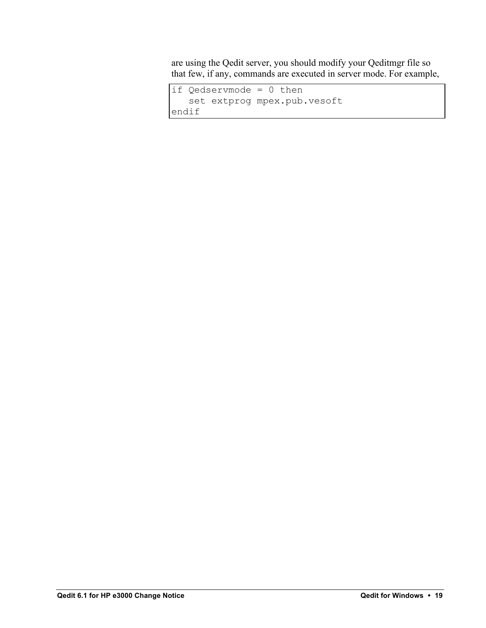are using the Qedit server, you should modify your Qeditmgr file so that few, if any, commands are executed in server mode. For example,

```
if Qedservmode = 0 then
    set extprog mpex.pub.vesoft
endif
```